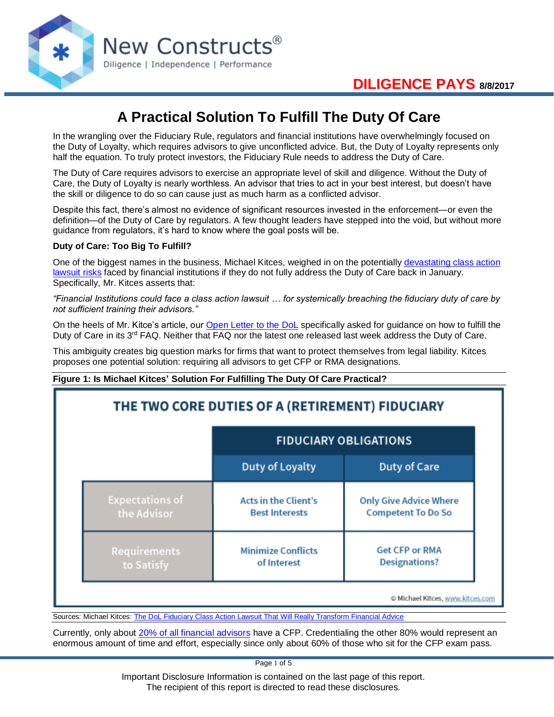

# **A Practical Solution To Fulfill The Duty Of Care**

In the wrangling over the Fiduciary Rule, regulators and financial institutions have overwhelmingly focused on the Duty of Loyalty, which requires advisors to give unconflicted advice. But, the Duty of Loyalty represents only half the equation. To truly protect investors, the Fiduciary Rule needs to address the Duty of Care.

The Duty of Care requires advisors to exercise an appropriate level of skill and diligence. Without the Duty of Care, the Duty of Loyalty is nearly worthless. An advisor that tries to act in your best interest, but doesn't have the skill or diligence to do so can cause just as much harm as a conflicted advisor.

Despite this fact, there's almost no evidence of significant resources invested in the enforcement—or even the definition—of the Duty of Care by regulators. A few thought leaders have stepped into the void, but without more guidance from regulators, it's hard to know where the goal posts will be.

### **Duty of Care: Too Big To Fulfill?**

One of the biggest names in the business, Michael Kitces, weighed in on the potentially [devastating class action](https://www.kitces.com/blog/dol-fiduciary-class-action-lawsuit-risk-competency-duty-of-care/)  [lawsuit risks](https://www.kitces.com/blog/dol-fiduciary-class-action-lawsuit-risk-competency-duty-of-care/) faced by financial institutions if they do not fully address the Duty of Care back in January. Specifically, Mr. Kitces asserts that:

*"Financial Institutions could face a class action lawsuit … for systemically breaching the fiduciary duty of care by not sufficient training their advisors."*

On the heels of Mr. Kitce's article, our [Open Letter to the DoL](https://www.newconstructs.com/blind-spot-alert-fiduciary-duty-of-care/) specifically asked for guidance on how to fulfill the Duty of Care in its 3<sup>rd</sup> FAQ. Neither that FAQ nor the latest one released last week address the Duty of Care.

This ambiguity creates big question marks for firms that want to protect themselves from legal liability. Kitces proposes one potential solution: requiring all advisors to get CFP or RMA designations.

### **Figure 1: Is Michael Kitces' Solution For Fulfilling The Duty Of Care Practical?**

|                        | <b>FIDUCIARY OBLIGATIONS</b> |                               |
|------------------------|------------------------------|-------------------------------|
|                        | Duty of Loyalty              | Duty of Care                  |
| <b>Expectations of</b> | <b>Acts in the Client's</b>  | <b>Only Give Advice Where</b> |
| the Advisor            | <b>Best Interests</b>        | <b>Competent To Do So</b>     |
| Requirements           | <b>Minimize Conflicts</b>    | <b>Get CFP or RMA</b>         |
| to Satisfy             | of Interest                  | <b>Designations?</b>          |

Sources: Michael Kitces: [The DoL Fiduciary Class Action Lawsuit That Will Really Transform Financial Advice](https://www.kitces.com/blog/dol-fiduciary-class-action-lawsuit-risk-competency-duty-of-care/#disqus_thread)

Currently, only about [20% of all financial advisors](http://articles.chicagotribune.com/2014-04-04/news/sns-rt-us-yourpractice-integrity-20140404_1_advisers-certified-investment-management-analyst-ameriprise) have a CFP. Credentialing the other 80% would represent an enormous amount of time and effort, especially since only about 60% of those who sit for the CFP exam pass.

Page 1 of 5

Important Disclosure Information is contained on the last page of this report. The recipient of this report is directed to read these disclosures.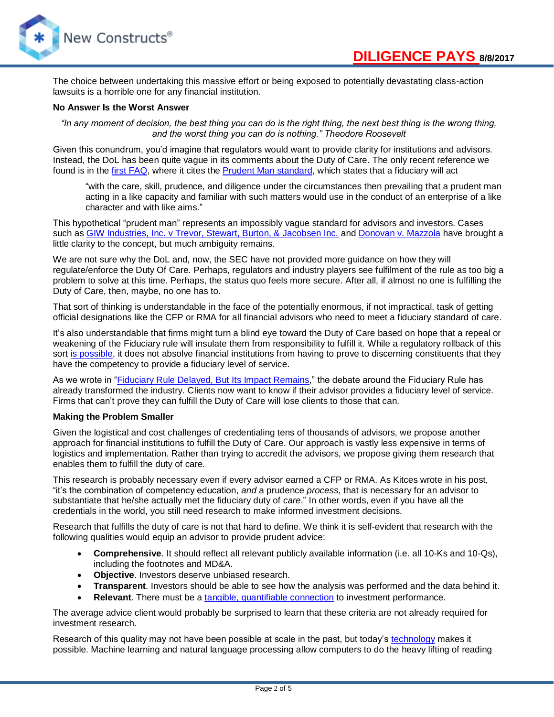The choice between undertaking this massive effort or being exposed to potentially devastating class-action lawsuits is a horrible one for any financial institution.

#### **No Answer Is the Worst Answer**

*"In any moment of decision, the best thing you can do is the right thing, the next best thing is the wrong thing, and the worst thing you can do is nothing." Theodore Roosevelt*

Given this conundrum, you'd imagine that regulators would want to provide clarity for institutions and advisors. Instead, the DoL has been quite vague in its comments about the Duty of Care. The only recent reference we found is in the [first FAQ,](https://www.dol.gov/sites/default/files/ebsa/about-ebsa/our-activities/resource-center/faqs/coi-rules-and-exemptions-part-1.pdf) where it cites the [Prudent Man standard,](https://www.law.cornell.edu/uscode/text/29/1104) which states that a fiduciary will act

"with the care, skill, prudence, and diligence under the circumstances then prevailing that a prudent man acting in a like capacity and familiar with such matters would use in the conduct of an enterprise of a like character and with like aims."

This hypothetical "prudent man" represents an impossibly vague standard for advisors and investors. Cases such a[s GIW Industries, Inc. v Trevor, Stewart, Burton, & Jacobsen Inc.](http://openjurist.org/895/f2d/729/giw-industries-inc-v-trevor-stewart-burton-and-jacobsen-inc) and [Donovan v. Mazzola](http://openjurist.org/716/f2d/1226) have brought a little clarity to the concept, but much ambiguity remains.

We are not sure why the DoL and, now, the SEC have not provided more guidance on how they will regulate/enforce the Duty Of Care. Perhaps, regulators and industry players see fulfilment of the rule as too big a problem to solve at this time. Perhaps, the status quo feels more secure. After all, if almost no one is fulfilling the Duty of Care, then, maybe, no one has to.

That sort of thinking is understandable in the face of the potentially enormous, if not impractical, task of getting official designations like the CFP or RMA for all financial advisors who need to meet a fiduciary standard of care.

It's also understandable that firms might turn a blind eye toward the Duty of Care based on hope that a repeal or weakening of the Fiduciary rule will insulate them from responsibility to fulfill it. While a regulatory rollback of this sort [is possible,](https://www.wsj.com/articles/a-fiduciary-rule-reckoning-1501448022) it does not absolve financial institutions from having to prove to discerning constituents that they have the competency to provide a fiduciary level of service.

As we wrote in ["Fiduciary Rule Delayed, But Its Impact Remains,](https://www.newconstructs.com/fiduciary-rule-delayed-but-its-impact-remains/)" the debate around the Fiduciary Rule has already transformed the industry. Clients now want to know if their advisor provides a fiduciary level of service. Firms that can't prove they can fulfill the Duty of Care will lose clients to those that can.

#### **Making the Problem Smaller**

Given the logistical and cost challenges of credentialing tens of thousands of advisors, we propose another approach for financial institutions to fulfill the Duty of Care. Our approach is vastly less expensive in terms of logistics and implementation. Rather than trying to accredit the advisors, we propose giving them research that enables them to fulfill the duty of care.

This research is probably necessary even if every advisor earned a CFP or RMA. As Kitces wrote in his post, "it's the combination of competency education, *and* a prudence *process*, that is necessary for an advisor to substantiate that he/she actually met the fiduciary duty of *care*." In other words, even if you have all the credentials in the world, you still need research to make informed investment decisions.

Research that fulfills the duty of care is not that hard to define. We think it is self-evident that research with the following qualities would equip an advisor to provide prudent advice:

- **Comprehensive**. It should reflect all relevant publicly available information (i.e. all 10-Ks and 10-Qs), including the footnotes and MD&A.
- **Objective**. Investors deserve unbiased research.
- **Transparent**. Investors should be able to see how the analysis was performed and the data behind it.
- **Relevant**. There must be a [tangible, quantifiable connection](https://www.newconstructs.com/roic-paradigm-linking-corporate-performance-valuation/) to investment performance.

The average advice client would probably be surprised to learn that these criteria are not already required for investment research.

Research of this quality may not have been possible at scale in the past, but today's [technology](https://www.thefinancialrevolutionist.com/opinion/why-robo-analysts-not-robo-advisors-will-transform-investing) makes it possible. Machine learning and natural language processing allow computers to do the heavy lifting of reading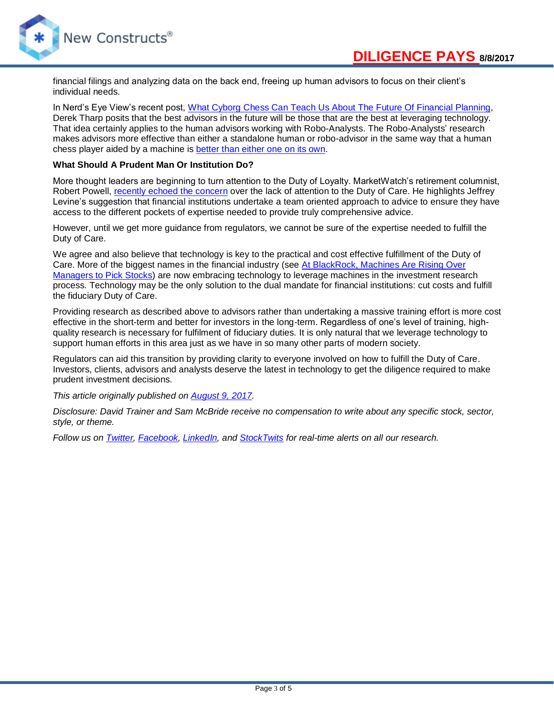

financial filings and analyzing data on the back end, freeing up human advisors to focus on their client's individual needs.

In Nerd's Eye View's recent post, [What Cyborg Chess Can Teach Us About The Future Of Financial Planning,](https://www.kitces.com/blog/cyborg-chess-advisor-teach-about-future-financial-planning/) Derek Tharp posits that the best advisors in the future will be those that are the best at leveraging technology. That idea certainly applies to the human advisors working with Robo-Analysts. The Robo-Analysts' research makes advisors more effective than either a standalone human or robo-advisor in the same way that a human chess player aided by a machine is [better than either one on its own.](https://www.bloomreach.com/en/resources/blogs/2014/12/centaur-chess-brings-best-humans-machines.html)

#### **What Should A Prudent Man Or Institution Do?**

More thought leaders are beginning to turn attention to the Duty of Loyalty. MarketWatch's retirement columnist, Robert Powell, [recently echoed the concern](http://www.marketwatch.com/story/the-fiduciary-rule-is-about-more-than-adviser-pay-heres-why-that-matters-2017-08-02) over the lack of attention to the Duty of Care. He highlights Jeffrey Levine's suggestion that financial institutions undertake a team oriented approach to advice to ensure they have access to the different pockets of expertise needed to provide truly comprehensive advice.

However, until we get more guidance from regulators, we cannot be sure of the expertise needed to fulfill the Duty of Care.

We agree and also believe that technology is key to the practical and cost effective fulfillment of the Duty of Care. More of the biggest names in the financial industry (see [At BlackRock, Machines Are Rising Over](https://www.nytimes.com/2017/03/28/business/dealbook/blackrock-actively-managed-funds-computer-models.html)  [Managers to Pick Stocks\)](https://www.nytimes.com/2017/03/28/business/dealbook/blackrock-actively-managed-funds-computer-models.html) are now embracing technology to leverage machines in the investment research process. Technology may be the only solution to the dual mandate for financial institutions: cut costs and fulfill the fiduciary Duty of Care.

Providing research as described above to advisors rather than undertaking a massive training effort is more cost effective in the short-term and better for investors in the long-term. Regardless of one's level of training, highquality research is necessary for fulfilment of fiduciary duties. It is only natural that we leverage technology to support human efforts in this area just as we have in so many other parts of modern society.

Regulators can aid this transition by providing clarity to everyone involved on how to fulfill the Duty of Care. Investors, clients, advisors and analysts deserve the latest in technology to get the diligence required to make prudent investment decisions.

*This article originally published on [August 9, 2017.](https://www.newconstructs.com/a-practical-solution-to-fulfill-the-duty-of-care)*

*Disclosure: David Trainer and Sam McBride receive no compensation to write about any specific stock, sector, style, or theme.*

*Follow us on [Twitter,](https://twitter.com/NewConstructs) [Facebook,](https://www.facebook.com/newconstructsllc/) [LinkedIn,](https://www.linkedin.com/company/new-constructs) and [StockTwits](https://stocktwits.com/dtrainer_NewConstructs) for real-time alerts on all our research.*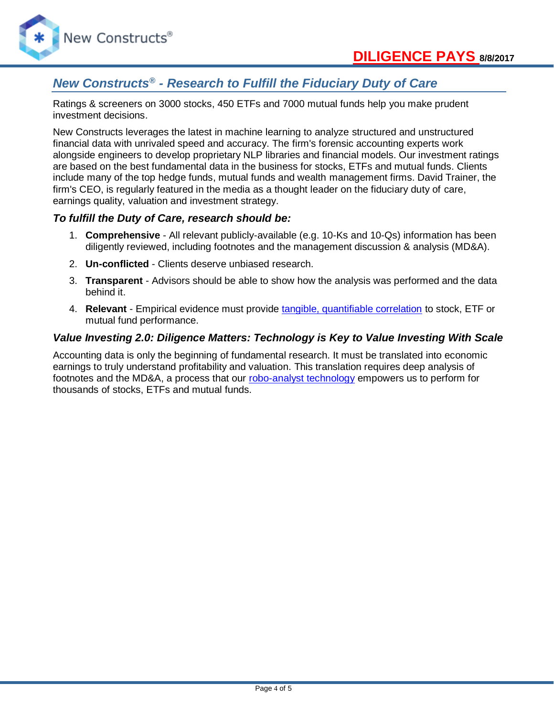



# *New Constructs® - Research to Fulfill the Fiduciary Duty of Care*

Ratings & screeners on 3000 stocks, 450 ETFs and 7000 mutual funds help you make prudent investment decisions.

New Constructs leverages the latest in machine learning to analyze structured and unstructured financial data with unrivaled speed and accuracy. The firm's forensic accounting experts work alongside engineers to develop proprietary NLP libraries and financial models. Our investment ratings are based on the best fundamental data in the business for stocks, ETFs and mutual funds. Clients include many of the top hedge funds, mutual funds and wealth management firms. David Trainer, the firm's CEO, is regularly featured in the media as a thought leader on the fiduciary duty of care, earnings quality, valuation and investment strategy.

### *To fulfill the Duty of Care, research should be:*

- 1. **Comprehensive** All relevant publicly-available (e.g. 10-Ks and 10-Qs) information has been diligently reviewed, including footnotes and the management discussion & analysis (MD&A).
- 2. **Un-conflicted** Clients deserve unbiased research.
- 3. **Transparent** Advisors should be able to show how the analysis was performed and the data behind it.
- 4. **Relevant** Empirical evidence must provide [tangible, quantifiable correlation](https://www.newconstructs.com/roic-paradigm-linking-corporate-performance-valuation/) to stock, ETF or mutual fund performance.

### *Value Investing 2.0: Diligence Matters: Technology is Key to Value Investing With Scale*

Accounting data is only the beginning of fundamental research. It must be translated into economic earnings to truly understand profitability and valuation. This translation requires deep analysis of footnotes and the MD&A, a process that our [robo-analyst technology](https://www.newconstructs.com/technology/) empowers us to perform for thousands of stocks, ETFs and mutual funds.